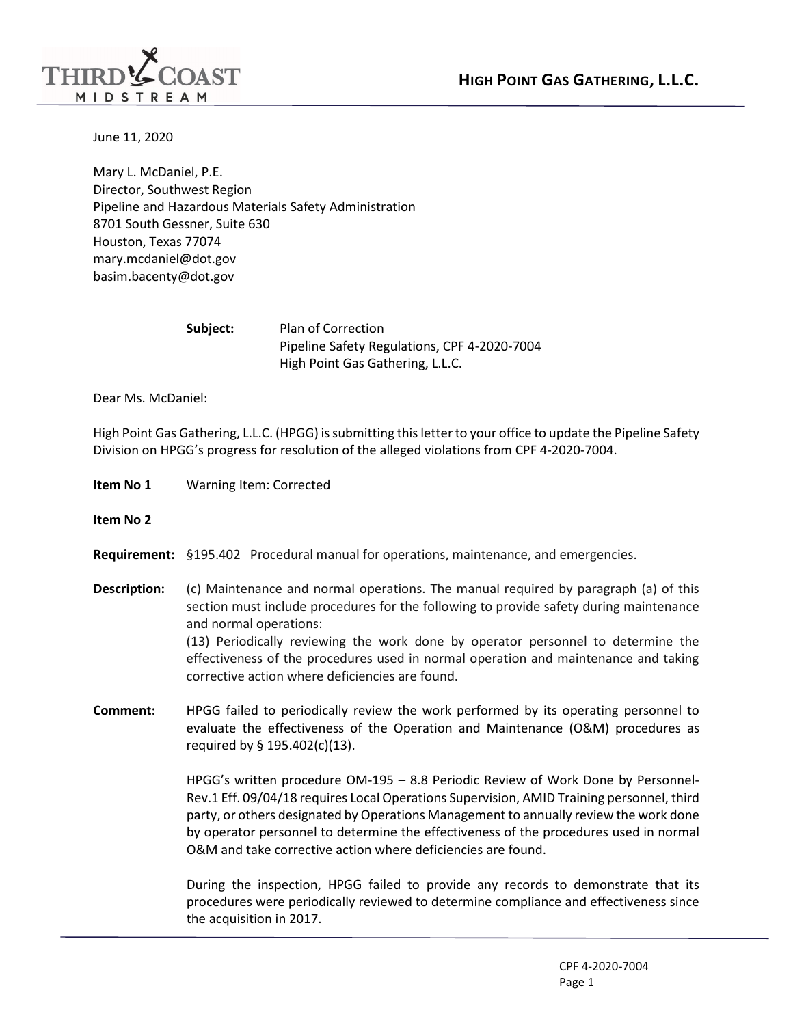

June 11, 2020

mary.mcdaniel@dot.gov [mary.mcdaniel@dot.gov](mailto:mary.mcdaniel@dot.gov)<br>basim.bacenty@dot.gov Mary L. McDaniel, P.E. Director, Southwest Region Pipeline and Hazardous Materials Safety Administration 8701 South Gessner, Suite 630 Houston, Texas 77074

| Subject: | <b>Plan of Correction</b>                    |
|----------|----------------------------------------------|
|          | Pipeline Safety Regulations, CPF 4-2020-7004 |
|          | High Point Gas Gathering, L.L.C.             |

Dear Ms. McDaniel:

 High Point Gas Gathering, L.L.C. (HPGG) is submitting this letter to your office to update the Pipeline Safety Division on HPGG's progress for resolution of the alleged violations from CPF 4-2020-7004.

- **Item No 1** Warning Item: Corrected
- **Item No 2**
- **Requirement:** §195.402 Procedural manual for operations, maintenance, and emergencies.

corrective action where deficiencies are found.

- **Description: Description:** (c) Maintenance and normal operations. The manual required by paragraph (a) of this section must include procedures for the following to provide safety during maintenance and normal operations: (13) Periodically reviewing the work done by operator personnel to determine the effectiveness of the procedures used in normal operation and maintenance and taking
- **Comment:** HPGG failed to periodically review the work performed by its operating personnel to evaluate the effectiveness of the Operation and Maintenance (O&M) procedures as required by § 195.402(c)(13).

 by operator personnel to determine the effectiveness of the procedures used in normal HPGG's written procedure OM-195 – 8.8 Periodic Review of Work Done by Personnel-Rev.1 Eff. 09/04/18 requires Local Operations Supervision, AMID Training personnel, third party, or others designated by Operations Management to annually review the work done O&M and take corrective action where deficiencies are found.

 During the inspection, HPGG failed to provide any records to demonstrate that its procedures were periodically reviewed to determine compliance and effectiveness since the acquisition in 2017.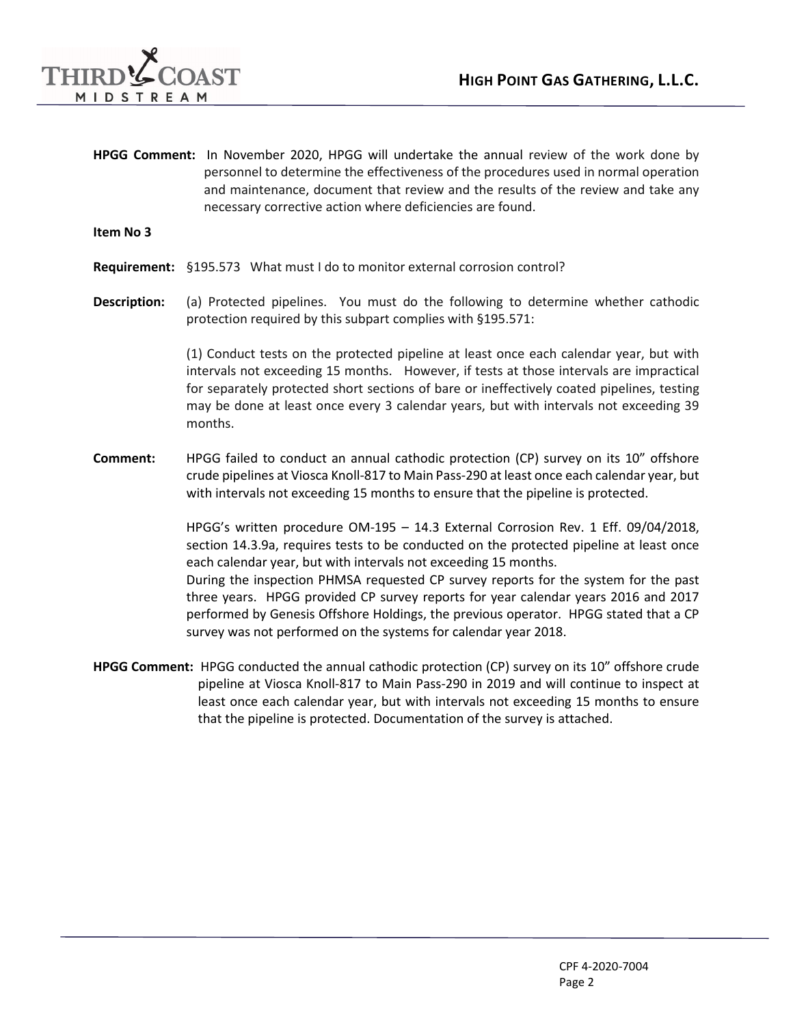

 personnel to determine the effectiveness of the procedures used in normal operation **HPGG Comment:** In November 2020, HPGG will undertake the annual review of the work done by and maintenance, document that review and the results of the review and take any necessary corrective action where deficiencies are found.

## **Item No 3**

- **Requirement:** §195.573 What must I do to monitor external corrosion control?
- Description: **Description:** (a) Protected pipelines. You must do the following to determine whether cathodic protection required by this subpart complies with §195.571:

 (1) Conduct tests on the protected pipeline at least once each calendar year, but with intervals not exceeding 15 months. However, if tests at those intervals are impractical for separately protected short sections of bare or ineffectively coated pipelines, testing may be done at least once every 3 calendar years, but with intervals not exceeding 39 months.

 **Comment:** HPGG failed to conduct an annual cathodic protection (CP) survey on its 10" offshore with intervals not exceeding 15 months to ensure that the pipeline is protected. crude pipelines at Viosca Knoll-817 to Main Pass-290 at least once each calendar year, but

> HPGG's written procedure OM-195 – 14.3 External Corrosion Rev. 1 Eff. 09/04/2018, section 14.3.9a, requires tests to be conducted on the protected pipeline at least once each calendar year, but with intervals not exceeding 15 months.

> During the inspection PHMSA requested CP survey reports for the system for the past three years. HPGG provided CP survey reports for year calendar years 2016 and 2017 performed by Genesis Offshore Holdings, the previous operator. HPGG stated that a CP survey was not performed on the systems for calendar year 2018.

 **HPGG Comment:** HPGG conducted the annual cathodic protection (CP) survey on its 10" offshore crude pipeline at Viosca Knoll-817 to Main Pass-290 in 2019 and will continue to inspect at least once each calendar year, but with intervals not exceeding 15 months to ensure that the pipeline is protected. Documentation of the survey is attached.